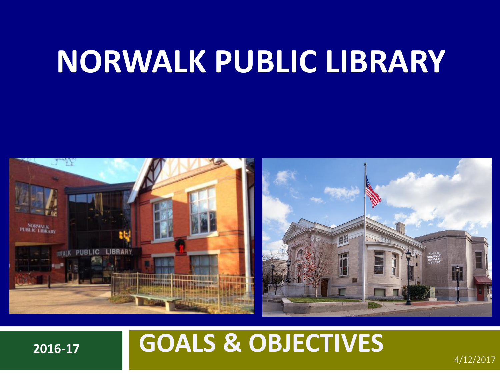# **NORWALK PUBLIC LIBRARY**



## **2016-17 GOALS & OBJECTIVES**

4/12/2017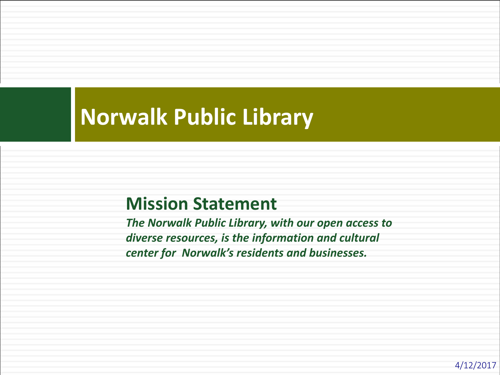### **Norwalk Public Library**

#### **Mission Statement**

*The Norwalk Public Library, with our open access to diverse resources, is the information and cultural center for Norwalk's residents and businesses.*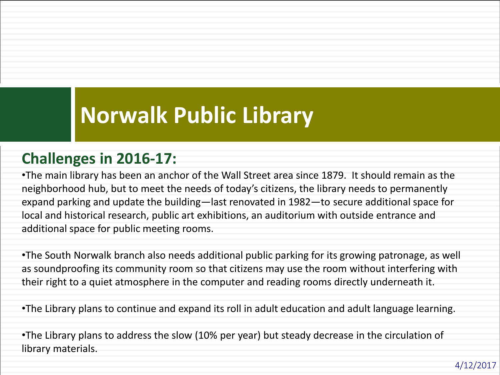## **Norwalk Public Library**

#### **Challenges in 2016-17:**

•The main library has been an anchor of the Wall Street area since 1879. It should remain as the neighborhood hub, but to meet the needs of today's citizens, the library needs to permanently expand parking and update the building—last renovated in 1982—to secure additional space for local and historical research, public art exhibitions, an auditorium with outside entrance and additional space for public meeting rooms.

•The South Norwalk branch also needs additional public parking for its growing patronage, as well as soundproofing its community room so that citizens may use the room without interfering with their right to a quiet atmosphere in the computer and reading rooms directly underneath it.

•The Library plans to continue and expand its roll in adult education and adult language learning.

•The Library plans to address the slow (10% per year) but steady decrease in the circulation of library materials.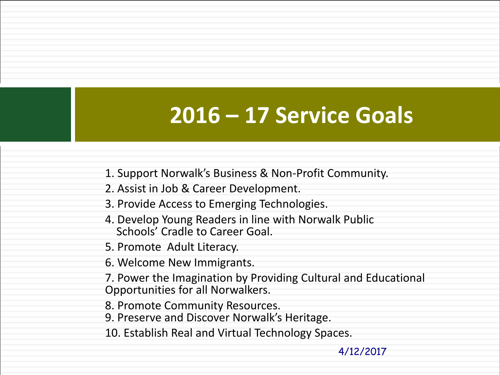### **2016 – 17 Service Goals**

- 1. Support Norwalk's Business & Non-Profit Community.
- 2. Assist in Job & Career Development.
- 3. Provide Access to Emerging Technologies.
- 4. Develop Young Readers in line with Norwalk Public Schools' Cradle to Career Goal.
- 5. Promote Adult Literacy.
- 6. Welcome New Immigrants.
- 7. Power the Imagination by Providing Cultural and Educational Opportunities for all Norwalkers.
- 8. Promote Community Resources.
- 9. Preserve and Discover Norwalk's Heritage.
- 10. Establish Real and Virtual Technology Spaces.

4/12/2017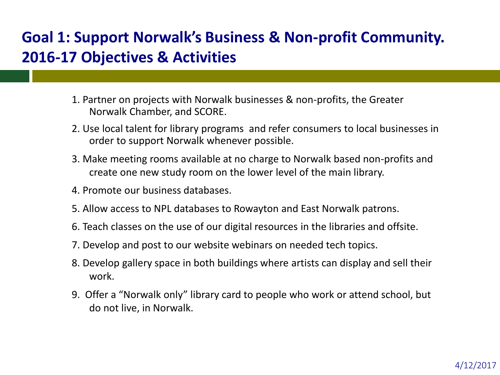#### **Goal 1: Support Norwalk's Business & Non-profit Community. 2016-17 Objectives & Activities**

- 1. Partner on projects with Norwalk businesses & non-profits, the Greater Norwalk Chamber, and SCORE.
- 2. Use local talent for library programs and refer consumers to local businesses in order to support Norwalk whenever possible.
- 3. Make meeting rooms available at no charge to Norwalk based non-profits and create one new study room on the lower level of the main library.
- 4. Promote our business databases.
- 5. Allow access to NPL databases to Rowayton and East Norwalk patrons.
- 6. Teach classes on the use of our digital resources in the libraries and offsite.
- 7. Develop and post to our website webinars on needed tech topics.
- 8. Develop gallery space in both buildings where artists can display and sell their work.
- 9. Offer a "Norwalk only" library card to people who work or attend school, but do not live, in Norwalk.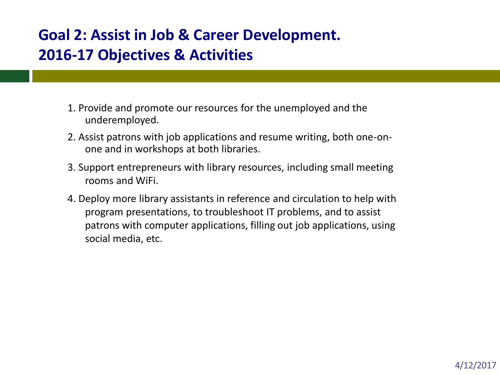#### **Goal 2: Assist in Job & Career Development. 2016-17 Objectives & Activities**

- 1. Provide and promote our resources for the unemployed and the underemployed.
- 2. Assist patrons with job applications and resume writing, both one-onone and in workshops at both libraries.
- 3. Support entrepreneurs with library resources, including small meeting rooms and WiFi.
- 4. Deploy more library assistants in reference and circulation to help with program presentations, to troubleshoot IT problems, and to assist patrons with computer applications, filling out job applications, using social media, etc.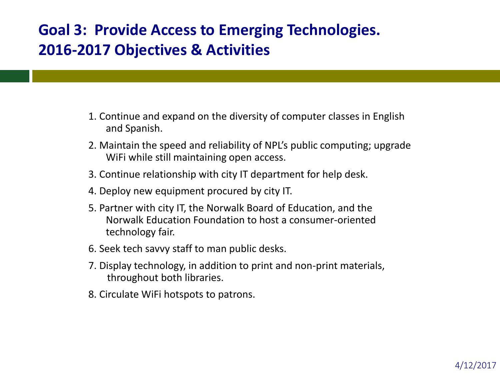#### **Goal 3: Provide Access to Emerging Technologies. 2016-2017 Objectives & Activities**

- 1. Continue and expand on the diversity of computer classes in English and Spanish.
- 2. Maintain the speed and reliability of NPL's public computing; upgrade WiFi while still maintaining open access.
- 3. Continue relationship with city IT department for help desk.
- 4. Deploy new equipment procured by city IT.
- 5. Partner with city IT, the Norwalk Board of Education, and the Norwalk Education Foundation to host a consumer-oriented technology fair.
- 6. Seek tech savvy staff to man public desks.
- 7. Display technology, in addition to print and non-print materials, throughout both libraries.
- 8. Circulate WiFi hotspots to patrons.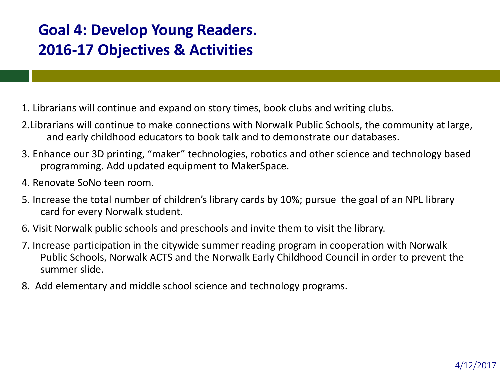#### **Goal 4: Develop Young Readers. 2016-17 Objectives & Activities**

- 1. Librarians will continue and expand on story times, book clubs and writing clubs.
- 2.Librarians will continue to make connections with Norwalk Public Schools, the community at large, and early childhood educators to book talk and to demonstrate our databases.
- 3. Enhance our 3D printing, "maker" technologies, robotics and other science and technology based programming. Add updated equipment to MakerSpace.
- 4. Renovate SoNo teen room.
- 5. Increase the total number of children's library cards by 10%; pursue the goal of an NPL library card for every Norwalk student.
- 6. Visit Norwalk public schools and preschools and invite them to visit the library.
- 7. Increase participation in the citywide summer reading program in cooperation with Norwalk Public Schools, Norwalk ACTS and the Norwalk Early Childhood Council in order to prevent the summer slide.
- 8. Add elementary and middle school science and technology programs.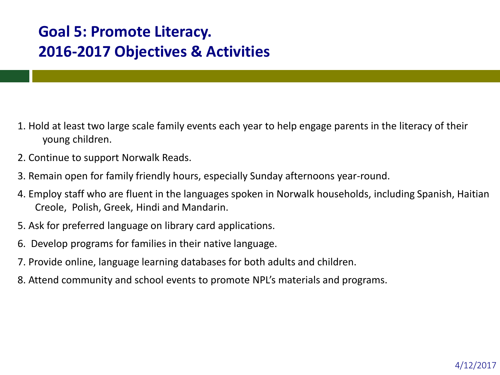#### **Goal 5: Promote Literacy. 2016-2017 Objectives & Activities**

- 1. Hold at least two large scale family events each year to help engage parents in the literacy of their young children.
- 2. Continue to support Norwalk Reads.
- 3. Remain open for family friendly hours, especially Sunday afternoons year-round.
- 4. Employ staff who are fluent in the languages spoken in Norwalk households, including Spanish, Haitian Creole, Polish, Greek, Hindi and Mandarin.
- 5. Ask for preferred language on library card applications.
- 6. Develop programs for families in their native language.
- 7. Provide online, language learning databases for both adults and children.
- 8. Attend community and school events to promote NPL's materials and programs.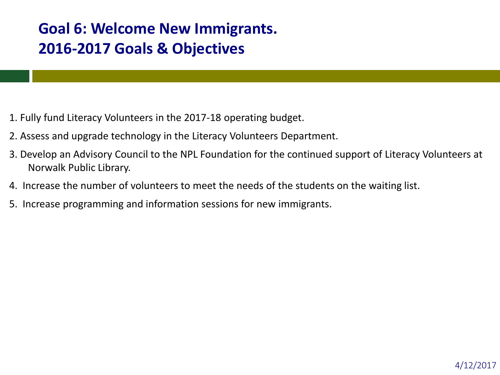#### **Goal 6: Welcome New Immigrants. 2016-2017 Goals & Objectives**

- 1. Fully fund Literacy Volunteers in the 2017-18 operating budget.
- 2. Assess and upgrade technology in the Literacy Volunteers Department.
- 3. Develop an Advisory Council to the NPL Foundation for the continued support of Literacy Volunteers at Norwalk Public Library.
- 4. Increase the number of volunteers to meet the needs of the students on the waiting list.
- 5. Increase programming and information sessions for new immigrants.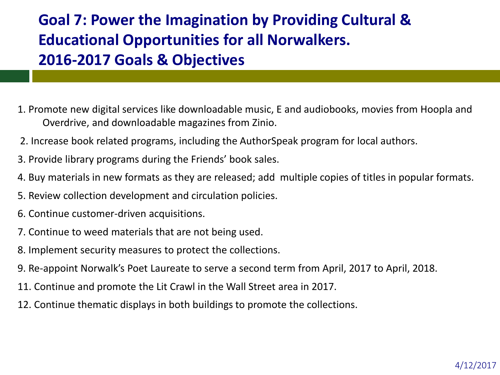#### **Goal 7: Power the Imagination by Providing Cultural & Educational Opportunities for all Norwalkers. 2016-2017 Goals & Objectives**

- 1. Promote new digital services like downloadable music, E and audiobooks, movies from Hoopla and Overdrive, and downloadable magazines from Zinio.
- 2. Increase book related programs, including the AuthorSpeak program for local authors.
- 3. Provide library programs during the Friends' book sales.
- 4. Buy materials in new formats as they are released; add multiple copies of titles in popular formats.
- 5. Review collection development and circulation policies.
- 6. Continue customer-driven acquisitions.
- 7. Continue to weed materials that are not being used.
- 8. Implement security measures to protect the collections.
- 9. Re-appoint Norwalk's Poet Laureate to serve a second term from April, 2017 to April, 2018.
- 11. Continue and promote the Lit Crawl in the Wall Street area in 2017.
- 12. Continue thematic displays in both buildings to promote the collections.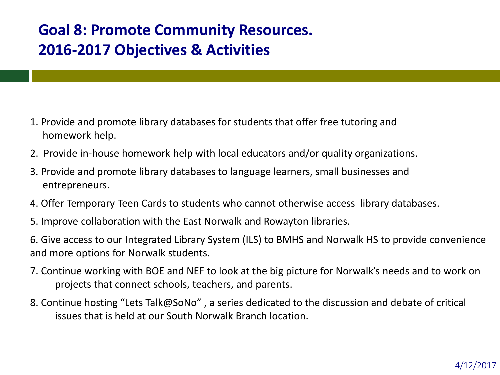#### **Goal 8: Promote Community Resources. 2016-2017 Objectives & Activities**

- 1. Provide and promote library databases for students that offer free tutoring and homework help.
- 2. Provide in-house homework help with local educators and/or quality organizations.
- 3. Provide and promote library databases to language learners, small businesses and entrepreneurs.
- 4. Offer Temporary Teen Cards to students who cannot otherwise access library databases.
- 5. Improve collaboration with the East Norwalk and Rowayton libraries.
- 6. Give access to our Integrated Library System (ILS) to BMHS and Norwalk HS to provide convenience and more options for Norwalk students.
- 7. Continue working with BOE and NEF to look at the big picture for Norwalk's needs and to work on projects that connect schools, teachers, and parents.
- 8. Continue hosting "Lets Talk@SoNo" , a series dedicated to the discussion and debate of critical issues that is held at our South Norwalk Branch location.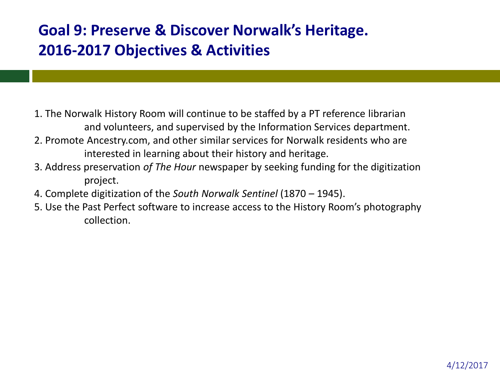#### **Goal 9: Preserve & Discover Norwalk's Heritage. 2016-2017 Objectives & Activities**

- 1. The Norwalk History Room will continue to be staffed by a PT reference librarian and volunteers, and supervised by the Information Services department.
- 2. Promote Ancestry.com, and other similar services for Norwalk residents who are interested in learning about their history and heritage.
- 3. Address preservation *of The Hour* newspaper by seeking funding for the digitization project.
- 4. Complete digitization of the *South Norwalk Sentinel* (1870 1945).
- 5. Use the Past Perfect software to increase access to the History Room's photography collection.